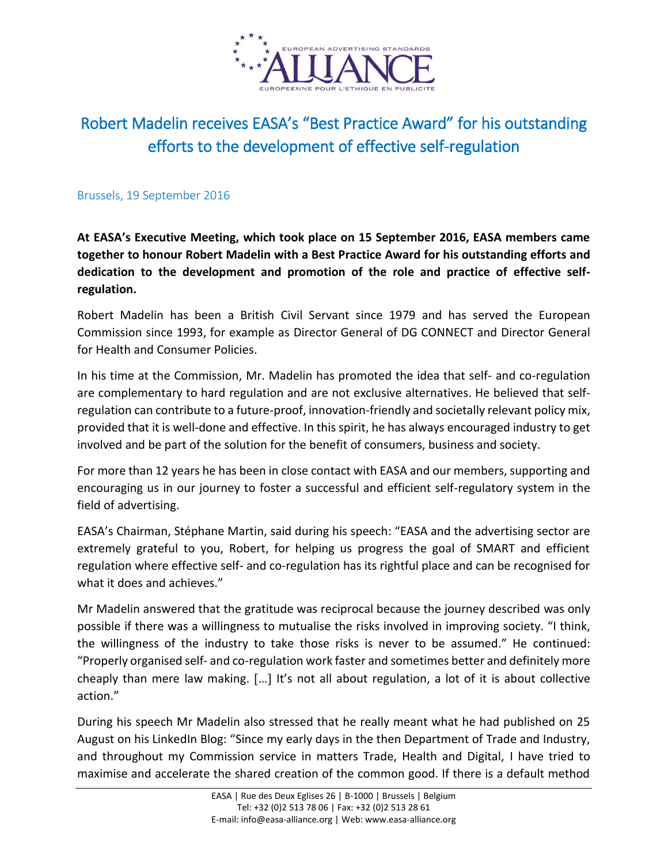

## Robert Madelin receives EASA's "Best Practice Award" for his outstanding efforts to the development of effective self-regulation

## Brussels, 19 September 2016

**At EASA's Executive Meeting, which took place on 15 September 2016, EASA members came together to honour Robert Madelin with a Best Practice Award for his outstanding efforts and dedication to the development and promotion of the role and practice of effective selfregulation.**

Robert Madelin has been a British Civil Servant since 1979 and has served the European Commission since 1993, for example as Director General of DG CONNECT and Director General for Health and Consumer Policies.

In his time at the Commission, Mr. Madelin has promoted the idea that self- and co-regulation are complementary to hard regulation and are not exclusive alternatives. He believed that selfregulation can contribute to a future-proof, innovation-friendly and societally relevant policy mix, provided that it is well-done and effective. In this spirit, he has always encouraged industry to get involved and be part of the solution for the benefit of consumers, business and society.

For more than 12 years he has been in close contact with EASA and our members, supporting and encouraging us in our journey to foster a successful and efficient self-regulatory system in the field of advertising.

EASA's Chairman, Stéphane Martin, said during his speech: "EASA and the advertising sector are extremely grateful to you, Robert, for helping us progress the goal of SMART and efficient regulation where effective self- and co-regulation has its rightful place and can be recognised for what it does and achieves."

Mr Madelin answered that the gratitude was reciprocal because the journey described was only possible if there was a willingness to mutualise the risks involved in improving society. "I think, the willingness of the industry to take those risks is never to be assumed." He continued: "Properly organised self- and co-regulation work faster and sometimes better and definitely more cheaply than mere law making.  $[\dots]$  it's not all about regulation, a lot of it is about collective action."

During his speech Mr Madelin also stressed that he really meant what he had published on 25 August on his LinkedIn Blog: "Since my early days in the then Department of Trade and Industry, and throughout my Commission service in matters Trade, Health and Digital, I have tried to maximise and accelerate the shared creation of the common good. If there is a default method